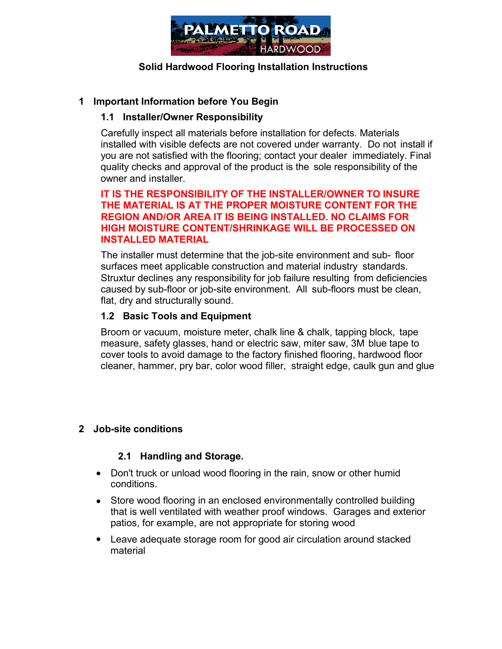

### **Solid Hardwood Flooring Installation Instructions**

### **1 Important Information before You Begin**

### **1.1 Installer/Owner Responsibility**

Carefully inspect all materials before installation for defects. Materials installed with visible defects are not covered under warranty. Do not install if you are not satisfied with the flooring; contact your dealer immediately. Final quality checks and approval of the product is the sole responsibility of the owner and installer.

#### **IT IS THE RESPONSIBILITY OF THE INSTALLER/OWNER TO INSURE THE MATERIAL IS AT THE PROPER MOISTURE CONTENT FOR THE REGION AND/OR AREA IT IS BEING INSTALLED. NO CLAIMS FOR HIGH MOISTURE CONTENT/SHRINKAGE WILL BE PROCESSED ON INSTALLED MATERIAL**

The installer must determine that the job-site environment and sub- floor surfaces meet applicable construction and material industry standards. Struxtur declines any responsibility for job failure resulting from deficiencies caused by sub-floor or job-site environment. All sub-floors must be clean, flat, dry and structurally sound.

### **1.2 Basic Tools and Equipment**

Broom or vacuum, moisture meter, chalk line & chalk, tapping block, tape measure, safety glasses, hand or electric saw, miter saw, 3M blue tape to cover tools to avoid damage to the factory finished flooring, hardwood floor cleaner, hammer, pry bar, color wood filler, straight edge, caulk gun and glue

# **2 Job-site conditions**

#### **2.1 Handling and Storage.**

- Don't truck or unload wood flooring in the rain, snow or other humid conditions.
- Store wood flooring in an enclosed environmentally controlled building that is well ventilated with weather proof windows. Garages and exterior patios, for example, are not appropriate for storing wood
- Leave adequate storage room for good air circulation around stacked material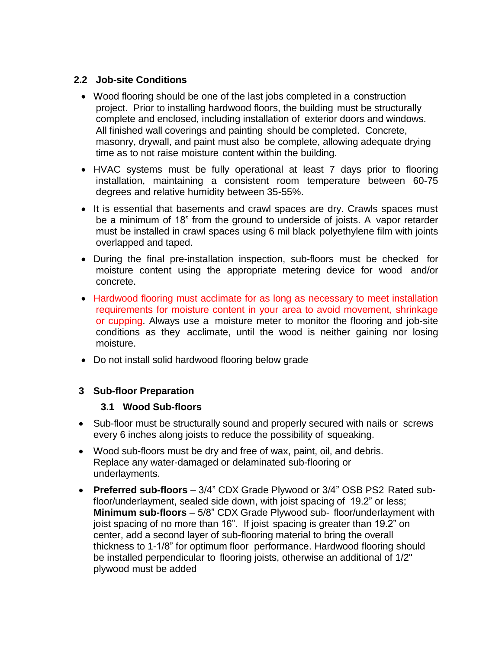# **2.2 Job-site Conditions**

- Wood flooring should be one of the last jobs completed in a construction project. Prior to installing hardwood floors, the building must be structurally complete and enclosed, including installation of exterior doors and windows. All finished wall coverings and painting should be completed. Concrete, masonry, drywall, and paint must also be complete, allowing adequate drying time as to not raise moisture content within the building.
- HVAC systems must be fully operational at least 7 days prior to flooring installation, maintaining a consistent room temperature between 60-75 degrees and relative humidity between 35-55%.
- It is essential that basements and crawl spaces are dry. Crawls spaces must be a minimum of 18" from the ground to underside of joists. A vapor retarder must be installed in crawl spaces using 6 mil black polyethylene film with joints overlapped and taped.
- During the final pre-installation inspection, sub-floors must be checked for moisture content using the appropriate metering device for wood and/or concrete.
- Hardwood flooring must acclimate for as long as necessary to meet installation requirements for moisture content in your area to avoid movement, shrinkage or cupping. Always use a moisture meter to monitor the flooring and job-site conditions as they acclimate, until the wood is neither gaining nor losing moisture.
- Do not install solid hardwood flooring below grade

#### **3 Sub-floor Preparation**

#### **3.1 Wood Sub-floors**

- Sub-floor must be structurally sound and properly secured with nails or screws every 6 inches along joists to reduce the possibility of squeaking.
- Wood sub-floors must be dry and free of wax, paint, oil, and debris. Replace any water-damaged or delaminated sub-flooring or underlayments.
- **Preferred sub-floors**  3/4" CDX Grade Plywood or 3/4" OSB PS2 Rated subfloor/underlayment, sealed side down, with joist spacing of 19.2" or less; **Minimum sub-floors** – 5/8" CDX Grade Plywood sub- floor/underlayment with joist spacing of no more than 16". If joist spacing is greater than 19.2" on center, add a second layer of sub-flooring material to bring the overall thickness to 1-1/8" for optimum floor performance. Hardwood flooring should be installed perpendicular to flooring joists, otherwise an additional of 1/2" plywood must be added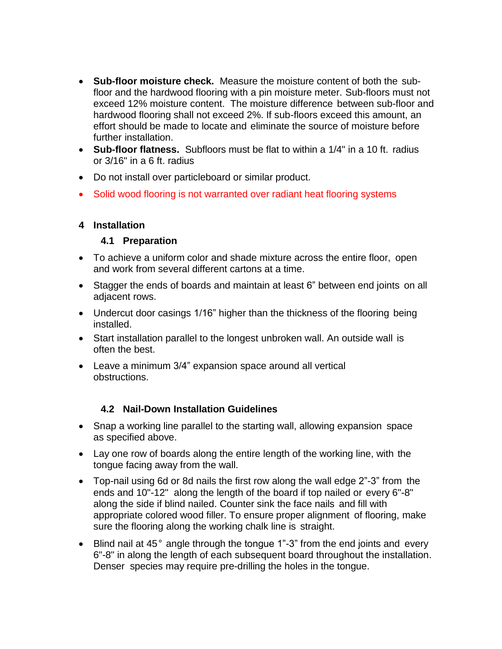- **Sub-floor moisture check.** Measure the moisture content of both the subfloor and the hardwood flooring with a pin moisture meter. Sub-floors must not exceed 12% moisture content. The moisture difference between sub-floor and hardwood flooring shall not exceed 2%. If sub-floors exceed this amount, an effort should be made to locate and eliminate the source of moisture before further installation.
- **Sub-floor flatness.** Subfloors must be flat to within a 1/4" in a 10 ft. radius or 3/16" in a 6 ft. radius
- Do not install over particleboard or similar product.
- Solid wood flooring is not warranted over radiant heat flooring systems

# **4 Installation**

# **4.1 Preparation**

- To achieve a uniform color and shade mixture across the entire floor, open and work from several different cartons at a time.
- Stagger the ends of boards and maintain at least 6" between end joints on all adjacent rows.
- Undercut door casings 1/16" higher than the thickness of the flooring being installed.
- Start installation parallel to the longest unbroken wall. An outside wall is often the best.
- Leave a minimum 3/4" expansion space around all vertical obstructions.

# **4.2 Nail-Down Installation Guidelines**

- Snap a working line parallel to the starting wall, allowing expansion space as specified above.
- Lay one row of boards along the entire length of the working line, with the tongue facing away from the wall.
- Top-nail using 6d or 8d nails the first row along the wall edge 2"-3" from the ends and 10"-12" along the length of the board if top nailed or every 6"-8" along the side if blind nailed. Counter sink the face nails and fill with appropriate colored wood filler. To ensure proper alignment of flooring, make sure the flooring along the working chalk line is straight.
- Blind nail at 45° angle through the tongue 1"-3" from the end joints and every 6"-8" in along the length of each subsequent board throughout the installation. Denser species may require pre-drilling the holes in the tongue.